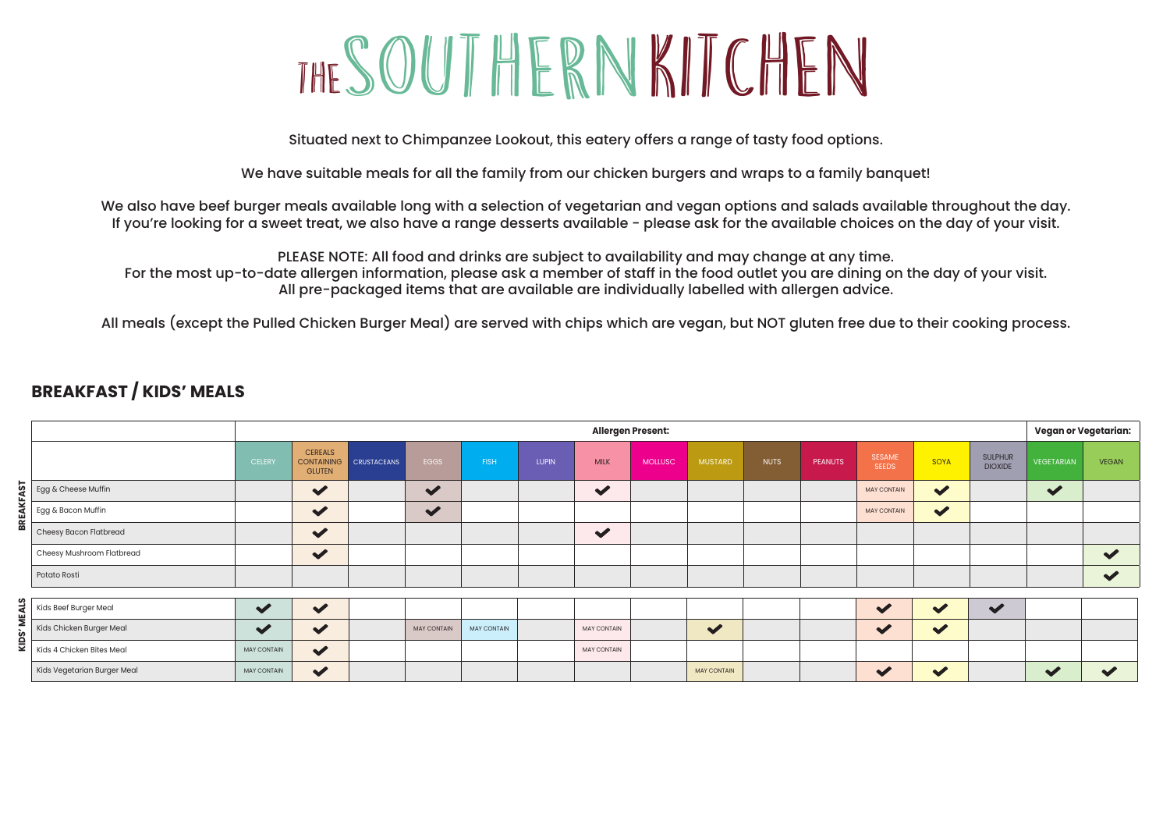# THESOUTHERNKITCHEN

Situated next to Chimpanzee Lookout, this eatery offers a range of tasty food options.

We have suitable meals for all the family from our chicken burgers and wraps to a family banquet!

We also have beef burger meals available long with a selection of vegetarian and vegan options and salads available throughout the day. If you're looking for a sweet treat, we also have a range desserts available - please ask for the available choices on the day of your visit.

PLEASE NOTE: All food and drinks are subject to availability and may change at any time. For the most up-to-date allergen information, please ask a member of staff in the food outlet you are dining on the day of your visit. All pre-packaged items that are available are individually labelled with allergen advice.

All meals (except the Pulled Chicken Burger Meal) are served with chips which are vegan, but NOT gluten free due to their cooking process.

#### **BREAKFAST / KIDS' MEALS**

|               |                             |                      |                                                      |                    |                      |                    |              | <b>Allergen Present:</b> |                |                      |             |                |                               |                      |                                  | Vegan or Vegetarian: |                      |
|---------------|-----------------------------|----------------------|------------------------------------------------------|--------------------|----------------------|--------------------|--------------|--------------------------|----------------|----------------------|-------------|----------------|-------------------------------|----------------------|----------------------------------|----------------------|----------------------|
|               |                             | <b>CELERY</b>        | <b>CEREALS</b><br><b>CONTAINING</b><br><b>GLUTEN</b> | <b>CRUSTACEANS</b> | EGGS                 | <b>FISH</b>        | <b>LUPIN</b> | <b>MILK</b>              | <b>MOLLUSC</b> | <b>MUSTARD</b>       | <b>NUTS</b> | <b>PEANUTS</b> | <b>SESAME</b><br><b>SEEDS</b> | SOYA                 | <b>SULPHUR</b><br><b>DIOXIDE</b> | <b>VEGETARIAN</b>    | <b>VEGAN</b>         |
|               | Egg & Cheese Muffin         |                      | $\checkmark$                                         |                    | $\blacktriangledown$ |                    |              | $\blacktriangledown$     |                |                      |             |                | <b>MAY CONTAIN</b>            | $\blacktriangledown$ |                                  | $\blacktriangledown$ |                      |
|               | Egg & Bacon Muffin          |                      | $\blacktriangledown$                                 |                    | $\blacktriangledown$ |                    |              |                          |                |                      |             |                | <b>MAY CONTAIN</b>            | $\blacktriangledown$ |                                  |                      |                      |
|               | Cheesy Bacon Flatbread      |                      | $\checkmark$                                         |                    |                      |                    |              | $\blacktriangledown$     |                |                      |             |                |                               |                      |                                  |                      |                      |
|               | Cheesy Mushroom Flatbread   |                      | $\checkmark$                                         |                    |                      |                    |              |                          |                |                      |             |                |                               |                      |                                  |                      | $\blacktriangledown$ |
|               | Potato Rosti                |                      |                                                      |                    |                      |                    |              |                          |                |                      |             |                |                               |                      |                                  |                      | $\checkmark$         |
|               |                             |                      |                                                      |                    |                      |                    |              |                          |                |                      |             |                |                               |                      |                                  |                      |                      |
|               | Kids Beef Burger Meal       | $\blacktriangledown$ | $\blacktriangledown$                                 |                    |                      |                    |              |                          |                |                      |             |                | $\blacktriangledown$          | $\blacktriangledown$ | $\blacktriangleright$            |                      |                      |
|               | Kids Chicken Burger Meal    | $\checkmark$         | $\blacktriangledown$                                 |                    | <b>MAY CONTAIN</b>   | <b>MAY CONTAIN</b> |              | <b>MAY CONTAIN</b>       |                | $\blacktriangledown$ |             |                | $\checkmark$                  | $\blacktriangledown$ |                                  |                      |                      |
| $\frac{1}{2}$ | Kids 4 Chicken Bites Meal   | MAY CONTAIN          | $\blacktriangledown$                                 |                    |                      |                    |              | <b>MAY CONTAIN</b>       |                |                      |             |                |                               |                      |                                  |                      |                      |
|               | Kids Vegetarian Burger Meal | MAY CONTAIN          | $\blacktriangledown$                                 |                    |                      |                    |              |                          |                | <b>MAY CONTAIN</b>   |             |                | $\checkmark$                  | $\blacktriangledown$ |                                  | $\blacktriangledown$ | $\blacktriangledown$ |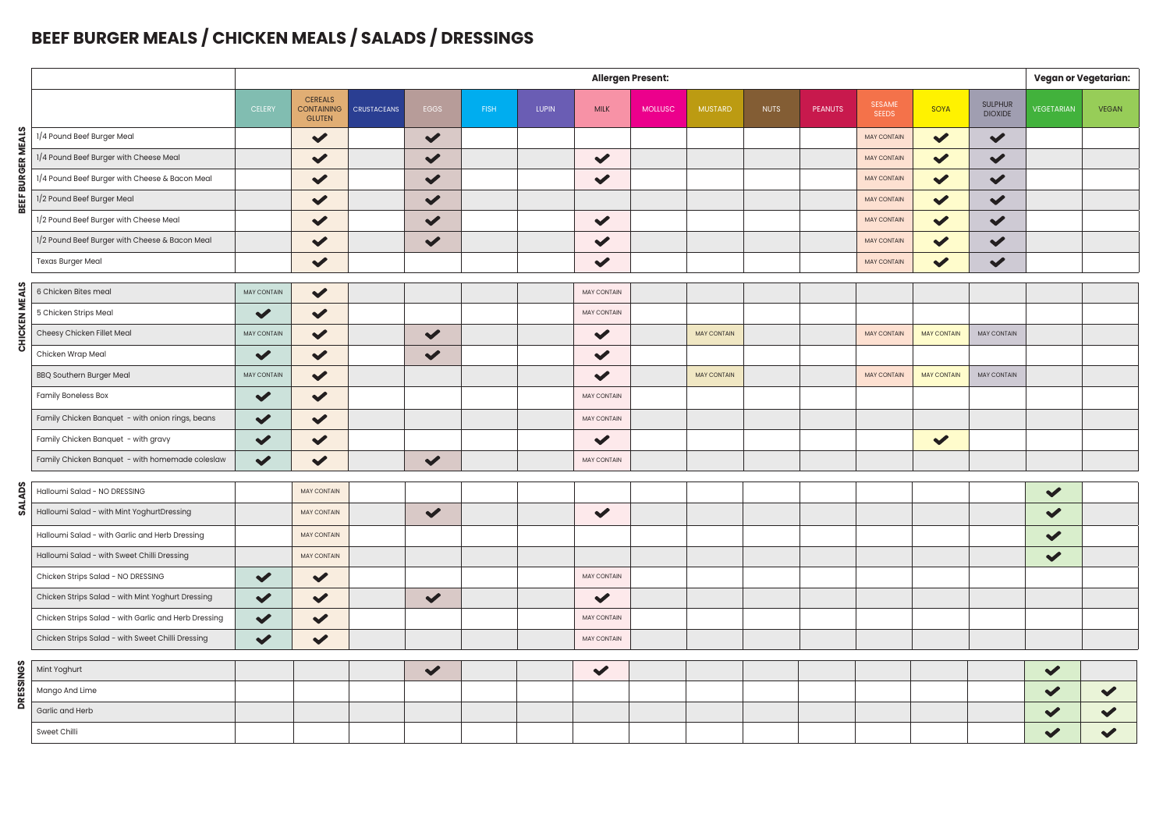## **BEEF BURGER MEALS / CHICKEN MEALS / SALADS / DRESSINGS**

|                  |                                                      | Allergen Present:    |                                                      |                    |                      |             |              |                      |                |                    |             |                |                               |                      |                                  |                      | <b>Vegan or Vegetarian:</b> |  |  |
|------------------|------------------------------------------------------|----------------------|------------------------------------------------------|--------------------|----------------------|-------------|--------------|----------------------|----------------|--------------------|-------------|----------------|-------------------------------|----------------------|----------------------------------|----------------------|-----------------------------|--|--|
|                  |                                                      | <b>CELERY</b>        | <b>CEREALS</b><br><b>CONTAINING</b><br><b>GLUTEN</b> | <b>CRUSTACEANS</b> | EGGS                 | <b>FISH</b> | <b>LUPIN</b> | <b>MILK</b>          | <b>MOLLUSC</b> | <b>MUSTARD</b>     | <b>NUTS</b> | <b>PEANUTS</b> | <b>SESAME</b><br><b>SEEDS</b> | SOYA                 | <b>SULPHUR</b><br><b>DIOXIDE</b> | <b>VEGETARIAN</b>    | <b>VEGAN</b>                |  |  |
|                  | 1/4 Pound Beef Burger Meal                           |                      | $\checkmark$                                         |                    | $\blacktriangledown$ |             |              |                      |                |                    |             |                | <b>MAY CONTAIN</b>            | $\blacktriangledown$ | $\blacktriangledown$             |                      |                             |  |  |
| ER MEALS         | 1/4 Pound Beef Burger with Cheese Meal               |                      | $\checkmark$                                         |                    | $\blacktriangledown$ |             |              | $\checkmark$         |                |                    |             |                | <b>MAY CONTAIN</b>            | $\blacktriangledown$ | $\checkmark$                     |                      |                             |  |  |
| <b>BURGI</b>     | 1/4 Pound Beef Burger with Cheese & Bacon Meal       |                      | $\blacktriangledown$                                 |                    | $\blacktriangledown$ |             |              | $\checkmark$         |                |                    |             |                | <b>MAY CONTAIN</b>            | $\blacktriangledown$ | $\checkmark$                     |                      |                             |  |  |
| BEEF             | 1/2 Pound Beef Burger Meal                           |                      | $\blacktriangledown$                                 |                    | $\blacktriangledown$ |             |              |                      |                |                    |             |                | <b>MAY CONTAIN</b>            | $\blacktriangledown$ | $\checkmark$                     |                      |                             |  |  |
|                  | 1/2 Pound Beef Burger with Cheese Meal               |                      | $\blacktriangledown$                                 |                    | $\blacktriangledown$ |             |              | $\checkmark$         |                |                    |             |                | <b>MAY CONTAIN</b>            | $\checkmark$         | $\blacktriangledown$             |                      |                             |  |  |
|                  | 1/2 Pound Beef Burger with Cheese & Bacon Meal       |                      | $\checkmark$                                         |                    | $\blacktriangledown$ |             |              | $\checkmark$         |                |                    |             |                | <b>MAY CONTAIN</b>            | $\blacktriangledown$ | $\checkmark$                     |                      |                             |  |  |
|                  | <b>Texas Burger Meal</b>                             |                      | $\blacktriangledown$                                 |                    |                      |             |              | $\blacktriangledown$ |                |                    |             |                | <b>MAY CONTAIN</b>            | $\checkmark$         | $\blacktriangledown$             |                      |                             |  |  |
|                  | 6 Chicken Bites meal                                 | MAY CONTAIN          | $\blacktriangledown$                                 |                    |                      |             |              | MAY CONTAIN          |                |                    |             |                |                               |                      |                                  |                      |                             |  |  |
| CHICKEN MEALS    | 5 Chicken Strips Meal                                | $\checkmark$         | $\blacktriangledown$                                 |                    |                      |             |              | MAY CONTAIN          |                |                    |             |                |                               |                      |                                  |                      |                             |  |  |
|                  | Cheesy Chicken Fillet Meal                           | MAY CONTAIN          | $\blacktriangledown$                                 |                    | $\checkmark$         |             |              | $\checkmark$         |                | <b>MAY CONTAIN</b> |             |                | <b>MAY CONTAIN</b>            | <b>MAY CONTAIN</b>   | MAY CONTAIN                      |                      |                             |  |  |
|                  | Chicken Wrap Meal                                    | $\checkmark$         | $\blacktriangledown$                                 |                    | $\blacktriangledown$ |             |              | $\checkmark$         |                |                    |             |                |                               |                      |                                  |                      |                             |  |  |
|                  | <b>BBQ Southern Burger Meal</b>                      | MAY CONTAIN          | $\blacktriangledown$                                 |                    |                      |             |              | $\checkmark$         |                | <b>MAY CONTAIN</b> |             |                | <b>MAY CONTAIN</b>            | <b>MAY CONTAIN</b>   | MAY CONTAIN                      |                      |                             |  |  |
|                  | <b>Family Boneless Box</b>                           | $\blacktriangledown$ | $\blacktriangledown$                                 |                    |                      |             |              | <b>MAY CONTAIN</b>   |                |                    |             |                |                               |                      |                                  |                      |                             |  |  |
|                  | Family Chicken Banquet - with onion rings, beans     | $\checkmark$         | $\checkmark$                                         |                    |                      |             |              | MAY CONTAIN          |                |                    |             |                |                               |                      |                                  |                      |                             |  |  |
|                  | Family Chicken Banquet - with gravy                  | $\blacktriangledown$ | $\checkmark$                                         |                    |                      |             |              | $\checkmark$         |                |                    |             |                |                               | $\checkmark$         |                                  |                      |                             |  |  |
|                  | Family Chicken Banquet - with homemade coleslaw      | $\checkmark$         | $\checkmark$                                         |                    | $\blacktriangledown$ |             |              | MAY CONTAIN          |                |                    |             |                |                               |                      |                                  |                      |                             |  |  |
|                  |                                                      |                      |                                                      |                    |                      |             |              |                      |                |                    |             |                |                               |                      |                                  |                      |                             |  |  |
| <b>SALADS</b>    | Halloumi Salad - NO DRESSING                         |                      | <b>MAY CONTAIN</b>                                   |                    |                      |             |              |                      |                |                    |             |                |                               |                      |                                  | $\checkmark$         |                             |  |  |
|                  | Halloumi Salad - with Mint YoghurtDressing           |                      | MAY CONTAIN                                          |                    | $\checkmark$         |             |              | $\checkmark$         |                |                    |             |                |                               |                      |                                  | $\checkmark$         |                             |  |  |
|                  | Halloumi Salad - with Garlic and Herb Dressing       |                      | <b>MAY CONTAIN</b>                                   |                    |                      |             |              |                      |                |                    |             |                |                               |                      |                                  | $\blacktriangledown$ |                             |  |  |
|                  | Halloumi Salad - with Sweet Chilli Dressing          |                      | <b>MAY CONTAIN</b>                                   |                    |                      |             |              |                      |                |                    |             |                |                               |                      |                                  | $\checkmark$         |                             |  |  |
|                  | Chicken Strips Salad - NO DRESSING                   | $\blacktriangledown$ | $\checkmark$                                         |                    |                      |             |              | MAY CONTAIN          |                |                    |             |                |                               |                      |                                  |                      |                             |  |  |
|                  | Chicken Strips Salad - with Mint Yoghurt Dressing    | $\blacktriangledown$ | $\blacktriangledown$                                 |                    | $\blacktriangledown$ |             |              | ✔                    |                |                    |             |                |                               |                      |                                  |                      |                             |  |  |
|                  | Chicken Strips Salad - with Garlic and Herb Dressing | $\checkmark$         | $\checkmark$                                         |                    |                      |             |              | <b>MAY CONTAIN</b>   |                |                    |             |                |                               |                      |                                  |                      |                             |  |  |
|                  | Chicken Strips Salad - with Sweet Chilli Dressing    | $\blacktriangledown$ | $\blacktriangledown$                                 |                    |                      |             |              | MAY CONTAIN          |                |                    |             |                |                               |                      |                                  |                      |                             |  |  |
|                  | Mint Yoghurt                                         |                      |                                                      |                    | $\blacktriangledown$ |             |              | $\checkmark$         |                |                    |             |                |                               |                      |                                  | $\checkmark$         |                             |  |  |
| <b>DRESSINGS</b> | Mango And Lime                                       |                      |                                                      |                    |                      |             |              |                      |                |                    |             |                |                               |                      |                                  | $\checkmark$         | $\checkmark$                |  |  |
|                  | Garlic and Herb                                      |                      |                                                      |                    |                      |             |              |                      |                |                    |             |                |                               |                      |                                  |                      |                             |  |  |
|                  | Sweet Chilli                                         |                      |                                                      |                    |                      |             |              |                      |                |                    |             |                |                               |                      |                                  |                      |                             |  |  |
|                  |                                                      |                      |                                                      |                    |                      |             |              |                      |                |                    |             |                |                               |                      |                                  |                      |                             |  |  |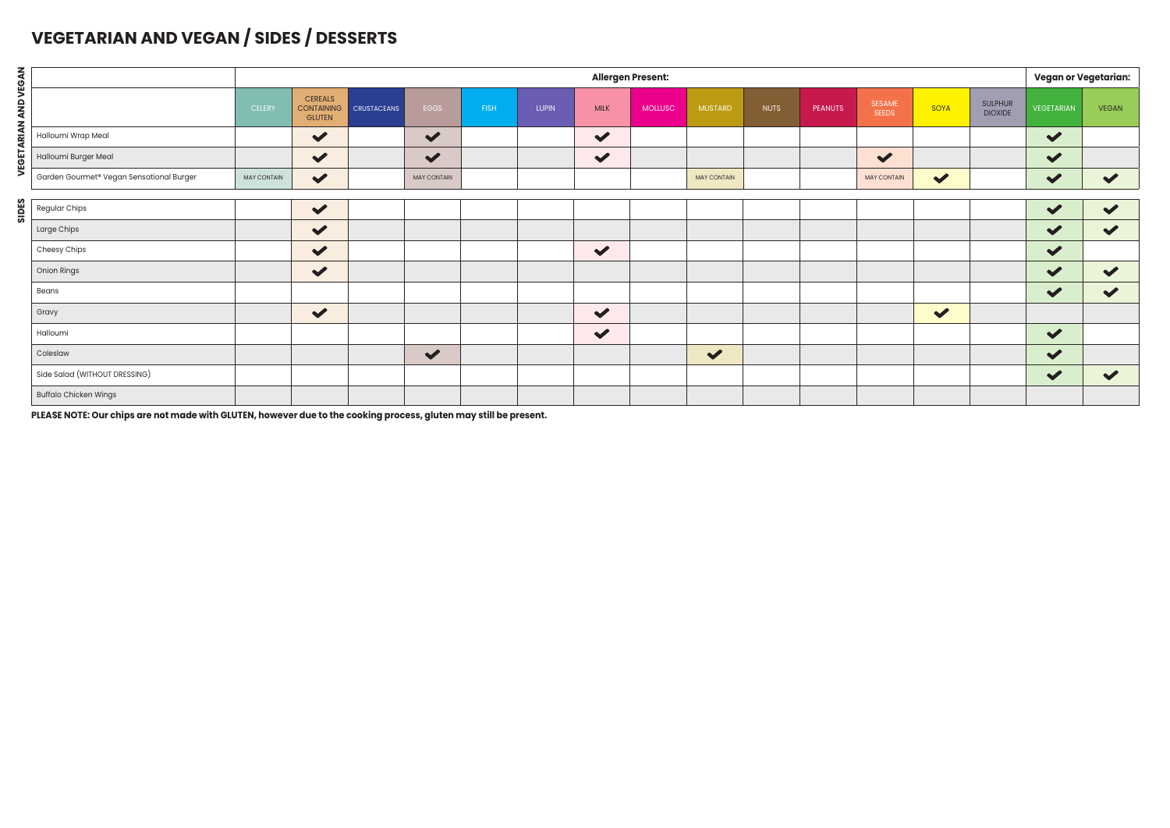#### **VEGETARIAN AND VEGAN / SIDES / DESSERTS**

|                             |                                          |                    |                                                      |                    |                      |             |              |                      | <b>Allergen Present:</b> |                      |             |         |                        |                      |                                  | Vegan or Vegetarian:  |                      |
|-----------------------------|------------------------------------------|--------------------|------------------------------------------------------|--------------------|----------------------|-------------|--------------|----------------------|--------------------------|----------------------|-------------|---------|------------------------|----------------------|----------------------------------|-----------------------|----------------------|
| <b>VEGETARIAN AND VEGAN</b> |                                          | <b>CELERY</b>      | <b>CEREALS</b><br><b>CONTAINING</b><br><b>GLUTEN</b> | <b>CRUSTACEANS</b> | EGGS                 | <b>FISH</b> | <b>LUPIN</b> | <b>MILK</b>          | <b>MOLLUSC</b>           | <b>MUSTARD</b>       | <b>NUTS</b> | PEANUTS | SESAME<br><b>SEEDS</b> | SOYA                 | <b>SULPHUR</b><br><b>DIOXIDE</b> | VEGETARIAN            | <b>VEGAN</b>         |
|                             | Halloumi Wrap Meal                       |                    | $\checkmark$                                         |                    | $\blacktriangledown$ |             |              | $\blacktriangledown$ |                          |                      |             |         |                        |                      |                                  | $\blacktriangledown$  |                      |
|                             | Halloumi Burger Meal                     |                    | $\checkmark$                                         |                    | $\blacktriangledown$ |             |              | $\blacktriangledown$ |                          |                      |             |         | $\blacktriangledown$   |                      |                                  | $\blacktriangledown$  |                      |
|                             | Garden Gourmet® Vegan Sensational Burger | <b>MAY CONTAIN</b> | $\checkmark$                                         |                    | <b>MAY CONTAIN</b>   |             |              |                      |                          | <b>MAY CONTAIN</b>   |             |         | <b>MAY CONTAIN</b>     | $\blacktriangledown$ |                                  | $\blacktriangledown$  | $\blacktriangledown$ |
|                             |                                          |                    |                                                      |                    |                      |             |              |                      |                          |                      |             |         |                        |                      |                                  |                       |                      |
|                             | Regular Chips                            |                    | $\checkmark$                                         |                    |                      |             |              |                      |                          |                      |             |         |                        |                      |                                  | $\checkmark$          | $\checkmark$         |
|                             | Large Chips                              |                    | $\checkmark$                                         |                    |                      |             |              |                      |                          |                      |             |         |                        |                      |                                  | $\blacktriangledown$  | $\blacktriangledown$ |
|                             | Cheesy Chips                             |                    | $\blacktriangledown$                                 |                    |                      |             |              | $\checkmark$         |                          |                      |             |         |                        |                      |                                  | $\blacktriangledown$  |                      |
|                             | Onion Rings                              |                    | $\checkmark$                                         |                    |                      |             |              |                      |                          |                      |             |         |                        |                      |                                  | $\blacktriangledown$  | $\blacktriangledown$ |
|                             | Beans                                    |                    |                                                      |                    |                      |             |              |                      |                          |                      |             |         |                        |                      |                                  | $\blacktriangledown$  | $\blacktriangledown$ |
|                             | Gravy                                    |                    | $\checkmark$                                         |                    |                      |             |              | $\checkmark$         |                          |                      |             |         |                        | $\checkmark$         |                                  |                       |                      |
|                             | Halloumi                                 |                    |                                                      |                    |                      |             |              | $\checkmark$         |                          |                      |             |         |                        |                      |                                  | $\blacktriangledown$  |                      |
|                             | Coleslaw                                 |                    |                                                      |                    | $\blacktriangledown$ |             |              |                      |                          | $\blacktriangledown$ |             |         |                        |                      |                                  | $\blacktriangleright$ |                      |
|                             | Side Salad (WITHOUT DRESSING)            |                    |                                                      |                    |                      |             |              |                      |                          |                      |             |         |                        |                      |                                  | $\blacktriangledown$  | $\blacktriangledown$ |
|                             | <b>Buffalo Chicken Wings</b>             |                    |                                                      |                    |                      |             |              |                      |                          |                      |             |         |                        |                      |                                  |                       |                      |

**PLEASE NOTE: Our chips are not made with GLUTEN, however due to the cooking process, gluten may still be present.**